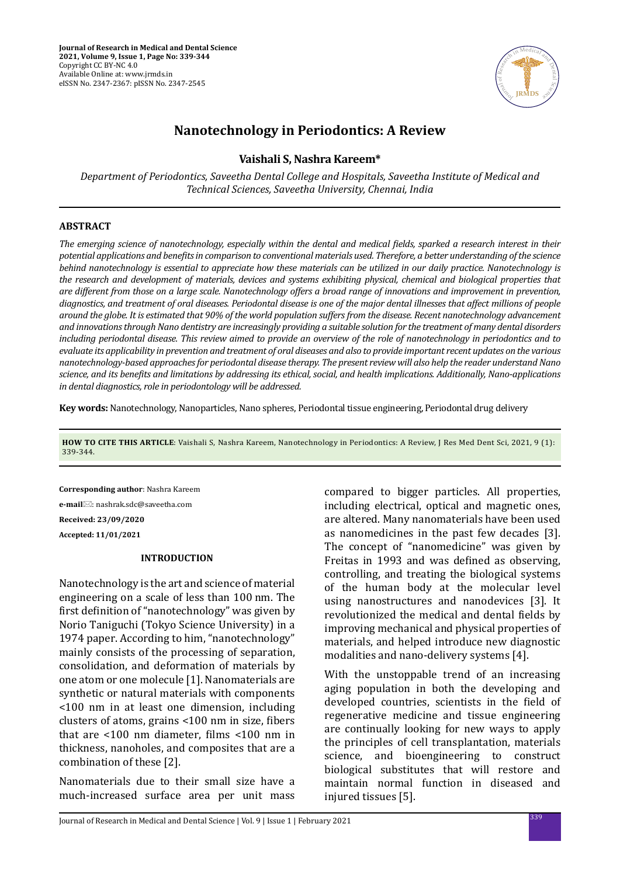

# **Nanotechnology in Periodontics: A Review**

## **Vaishali S, Nashra Kareem\***

*Department of Periodontics, Saveetha Dental College and Hospitals, Saveetha Institute of Medical and Technical Sciences, Saveetha University, Chennai, India*

#### **ABSTRACT**

*The emerging science of nanotechnology, especially within the dental and medical fields, sparked a research interest in their potential applications and benefits in comparison to conventional materials used. Therefore, a better understanding of the science behind nanotechnology is essential to appreciate how these materials can be utilized in our daily practice. Nanotechnology is the research and development of materials, devices and systems exhibiting physical, chemical and biological properties that are different from those on a large scale. Nanotechnology offers a broad range of innovations and improvement in prevention, diagnostics, and treatment of oral diseases. Periodontal disease is one of the major dental illnesses that affect millions of people around the globe. It is estimated that 90% of the world population suffers from the disease. Recent nanotechnology advancement and innovations through Nano dentistry are increasingly providing a suitable solution for the treatment of many dental disorders including periodontal disease. This review aimed to provide an overview of the role of nanotechnology in periodontics and to evaluate its applicability in prevention and treatment of oral diseases and also to provide important recent updates on the various nanotechnology-based approaches for periodontal disease therapy. The present review will also help the reader understand Nano science, and its benefits and limitations by addressing its ethical, social, and health implications. Additionally, Nano-applications in dental diagnostics, role in periodontology will be addressed.*

**Key words:** Nanotechnology, Nanoparticles, Nano spheres, Periodontal tissue engineering, Periodontal drug delivery

**HOW TO CITE THIS ARTICLE**: Vaishali S, Nashra Kareem, Nanotechnology in Periodontics: A Review, J Res Med Dent Sci, 2021, 9 (1): 339-344.

**Corresponding author**: Nashra Kareem **e-mail**⊠: nashrak.sdc@saveetha.com **Received: 23/09/2020 Accepted: 11/01/2021**

#### **INTRODUCTION**

Nanotechnology is the art and science of material engineering on a scale of less than 100 nm. The first definition of "nanotechnology" was given by Norio Taniguchi (Tokyo Science University) in a 1974 paper. According to him, "nanotechnology" mainly consists of the processing of separation, consolidation, and deformation of materials by one atom or one molecule [1]. Nanomaterials are synthetic or natural materials with components <100 nm in at least one dimension, including clusters of atoms, grains <100 nm in size, fibers that are <100 nm diameter, films <100 nm in thickness, nanoholes, and composites that are a combination of these [2].

Nanomaterials due to their small size have a much-increased surface area per unit mass

compared to bigger particles. All properties, including electrical, optical and magnetic ones, are altered. Many nanomaterials have been used as nanomedicines in the past few decades [3]. The concept of "nanomedicine" was given by Freitas in 1993 and was defined as observing, controlling, and treating the biological systems of the human body at the molecular level using nanostructures and nanodevices [3]. It revolutionized the medical and dental fields by improving mechanical and physical properties of materials, and helped introduce new diagnostic modalities and nano-delivery systems [4].

With the unstoppable trend of an increasing aging population in both the developing and developed countries, scientists in the field of regenerative medicine and tissue engineering are continually looking for new ways to apply the principles of cell transplantation, materials science, and bioengineering to construct biological substitutes that will restore and maintain normal function in diseased and injured tissues [5].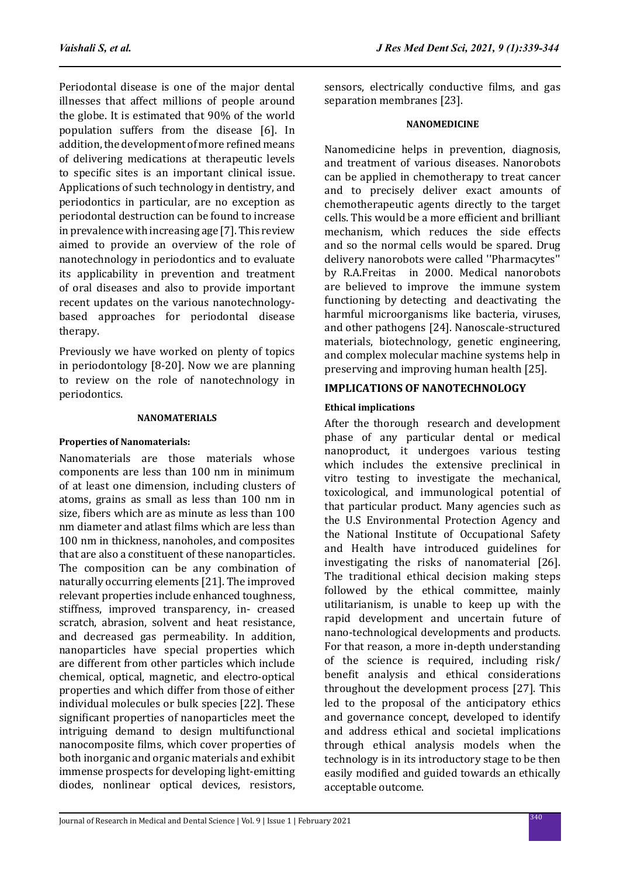Periodontal disease is one of the major dental illnesses that affect millions of people around the globe. It is estimated that 90% of the world population suffers from the disease [6]. In addition, the development of more refined means of delivering medications at therapeutic levels to specific sites is an important clinical issue. Applications of such technology in dentistry, and periodontics in particular, are no exception as periodontal destruction can be found to increase in prevalence with increasing age [7]. This review aimed to provide an overview of the role of nanotechnology in periodontics and to evaluate its applicability in prevention and treatment of oral diseases and also to provide important recent updates on the various nanotechnologybased approaches for periodontal disease therapy.

Previously we have worked on plenty of topics in periodontology [8-20]. Now we are planning to review on the role of nanotechnology in periodontics.

## **NANOMATERIALS**

## **Properties of Nanomaterials:**

Nanomaterials are those materials whose components are less than 100 nm in minimum of at least one dimension, including clusters of atoms, grains as small as less than 100 nm in size, fibers which are as minute as less than 100 nm diameter and atlast films which are less than 100 nm in thickness, nanoholes, and composites that are also a constituent of these nanoparticles. The composition can be any combination of naturally occurring elements [21]. The improved relevant properties include enhanced toughness, stiffness, improved transparency, in- creased scratch, abrasion, solvent and heat resistance, and decreased gas permeability. In addition, nanoparticles have special properties which are different from other particles which include chemical, optical, magnetic, and electro-optical properties and which differ from those of either individual molecules or bulk species [22]. These significant properties of nanoparticles meet the intriguing demand to design multifunctional nanocomposite films, which cover properties of both inorganic and organic materials and exhibit immense prospects for developing light-emitting diodes, nonlinear optical devices, resistors,

sensors, electrically conductive films, and gas separation membranes [23].

## **NANOMEDICINE**

Nanomedicine helps in prevention, diagnosis, and treatment of various diseases. Nanorobots can be applied in chemotherapy to treat cancer and to precisely deliver exact amounts of chemotherapeutic agents directly to the target cells. This would be a more efficient and brilliant mechanism, which reduces the side effects and so the normal cells would be spared. Drug delivery nanorobots were called ''Pharmacytes'' by R.A.Freitas in 2000. Medical nanorobots are believed to improve the immune system functioning by detecting and deactivating the harmful microorganisms like bacteria, viruses, and other pathogens [24]. Nanoscale-structured materials, biotechnology, genetic engineering, and complex molecular machine systems help in preserving and improving human health [25].

# **IMPLICATIONS OF NANOTECHNOLOGY**

## **Ethical implications**

After the thorough research and development phase of any particular dental or medical nanoproduct, it undergoes various testing which includes the extensive preclinical in vitro testing to investigate the mechanical, toxicological, and immunological potential of that particular product. Many agencies such as the U.S Environmental Protection Agency and the National Institute of Occupational Safety and Health have introduced guidelines for investigating the risks of nanomaterial [26]. The traditional ethical decision making steps followed by the ethical committee, mainly utilitarianism, is unable to keep up with the rapid development and uncertain future of nano-technological developments and products. For that reason, a more in-depth understanding of the science is required, including risk/ benefit analysis and ethical considerations throughout the development process [27]. This led to the proposal of the anticipatory ethics and governance concept, developed to identify and address ethical and societal implications through ethical analysis models when the technology is in its introductory stage to be then easily modified and guided towards an ethically acceptable outcome.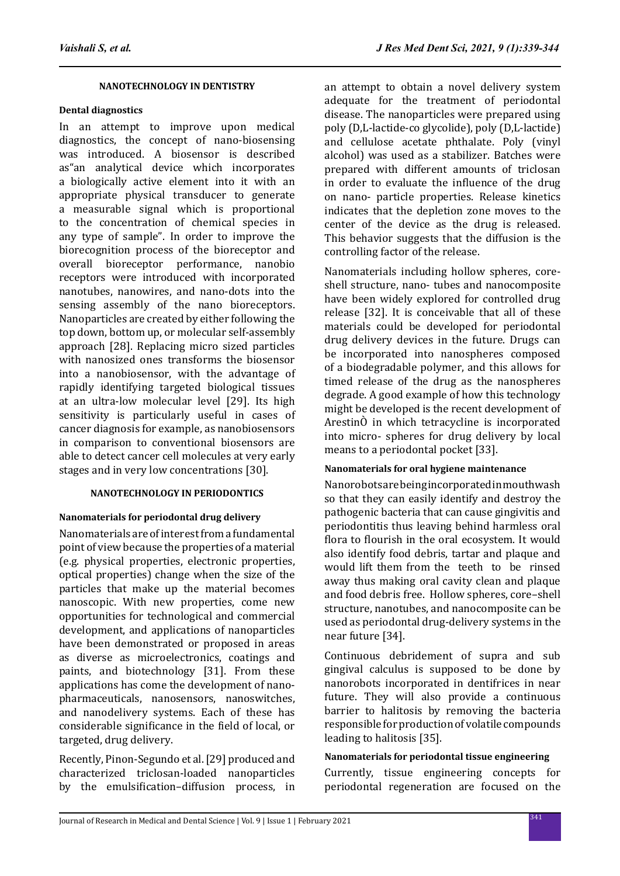## **NANOTECHNOLOGY IN DENTISTRY**

#### **Dental diagnostics**

In an attempt to improve upon medical diagnostics, the concept of nano-biosensing was introduced. A biosensor is described as"an analytical device which incorporates a biologically active element into it with an appropriate physical transducer to generate a measurable signal which is proportional to the concentration of chemical species in any type of sample". In order to improve the biorecognition process of the bioreceptor and overall bioreceptor performance, nanobio receptors were introduced with incorporated nanotubes, nanowires, and nano-dots into the sensing assembly of the nano bioreceptors. Nanoparticles are created by either following the top down, bottom up, or molecular self-assembly approach [28]. Replacing micro sized particles with nanosized ones transforms the biosensor into a nanobiosensor, with the advantage of rapidly identifying targeted biological tissues at an ultra-low molecular level [29]. Its high sensitivity is particularly useful in cases of cancer diagnosis for example, as nanobiosensors in comparison to conventional biosensors are able to detect cancer cell molecules at very early stages and in very low concentrations [30].

## **NANOTECHNOLOGY IN PERIODONTICS**

## **Nanomaterials for periodontal drug delivery**

Nanomaterials are of interest from a fundamental point of view because the properties of a material (e.g. physical properties, electronic properties, optical properties) change when the size of the particles that make up the material becomes nanoscopic. With new properties, come new opportunities for technological and commercial development, and applications of nanoparticles have been demonstrated or proposed in areas as diverse as microelectronics, coatings and paints, and biotechnology [31]. From these applications has come the development of nanopharmaceuticals, nanosensors, nanoswitches, and nanodelivery systems. Each of these has considerable significance in the field of local, or targeted, drug delivery.

Recently, Pinon-Segundo et al. [29] produced and characterized triclosan-loaded nanoparticles by the emulsification–diffusion process, in an attempt to obtain a novel delivery system adequate for the treatment of periodontal disease. The nanoparticles were prepared using poly (D,L-lactide-co glycolide), poly (D,L-lactide) and cellulose acetate phthalate. Poly (vinyl alcohol) was used as a stabilizer. Batches were prepared with different amounts of triclosan in order to evaluate the influence of the drug on nano- particle properties. Release kinetics indicates that the depletion zone moves to the center of the device as the drug is released. This behavior suggests that the diffusion is the controlling factor of the release.

Nanomaterials including hollow spheres, coreshell structure, nano- tubes and nanocomposite have been widely explored for controlled drug release [32]. It is conceivable that all of these materials could be developed for periodontal drug delivery devices in the future. Drugs can be incorporated into nanospheres composed of a biodegradable polymer, and this allows for timed release of the drug as the nanospheres degrade. A good example of how this technology might be developed is the recent development of ArestinÒ in which tetracycline is incorporated into micro- spheres for drug delivery by local means to a periodontal pocket [33].

## **Nanomaterials for oral hygiene maintenance**

Nanorobots are being incorporated in mouthwash so that they can easily identify and destroy the pathogenic bacteria that can cause gingivitis and periodontitis thus leaving behind harmless oral flora to flourish in the oral ecosystem. It would also identify food debris, tartar and plaque and would lift them from the teeth to be rinsed away thus making oral cavity clean and plaque and food debris free. Hollow spheres, core–shell structure, nanotubes, and nanocomposite can be used as periodontal drug-delivery systems in the near future [34].

Continuous debridement of supra and sub gingival calculus is supposed to be done by nanorobots incorporated in dentifrices in near future. They will also provide a continuous barrier to halitosis by removing the bacteria responsible for production of volatile compounds leading to halitosis [35].

## **Nanomaterials for periodontal tissue engineering**

Currently, tissue engineering concepts for periodontal regeneration are focused on the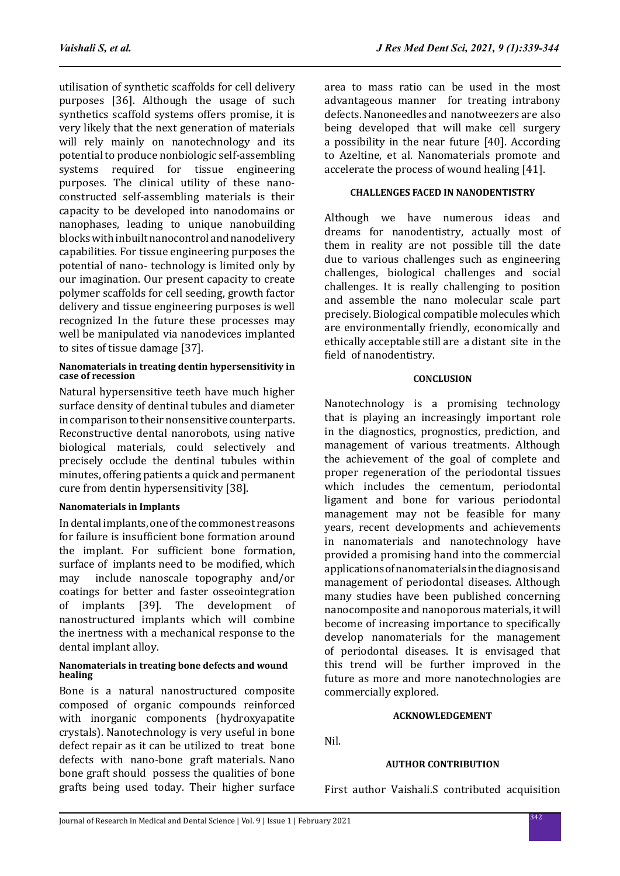utilisation of synthetic scaffolds for cell delivery purposes [36]. Although the usage of such synthetics scaffold systems offers promise, it is very likely that the next generation of materials will rely mainly on nanotechnology and its potential to produce nonbiologic self-assembling systems required for tissue engineering purposes. The clinical utility of these nanoconstructed self-assembling materials is their capacity to be developed into nanodomains or nanophases, leading to unique nanobuilding blocks with inbuilt nanocontrol and nanodelivery capabilities. For tissue engineering purposes the potential of nano- technology is limited only by our imagination. Our present capacity to create polymer scaffolds for cell seeding, growth factor delivery and tissue engineering purposes is well recognized In the future these processes may well be manipulated via nanodevices implanted to sites of tissue damage [37].

#### **Nanomaterials in treating dentin hypersensitivity in case of recession**

Natural hypersensitive teeth have much higher surface density of dentinal tubules and diameter in comparison to their nonsensitive counterparts. Reconstructive dental nanorobots, using native biological materials, could selectively and precisely occlude the dentinal tubules within minutes, offering patients a quick and permanent cure from dentin hypersensitivity [38].

## **Nanomaterials in Implants**

In dental implants, one of the commonest reasons for failure is insufficient bone formation around the implant. For sufficient bone formation, surface of implants need to be modified, which<br>may include nanoscale topography and/or include nanoscale topography and/or coatings for better and faster osseointegration of implants [39]. The development of nanostructured implants which will combine the inertness with a mechanical response to the dental implant alloy.

#### **Nanomaterials in treating bone defects and wound healing**

Bone is a natural nanostructured composite composed of organic compounds reinforced with inorganic components (hydroxyapatite crystals). Nanotechnology is very useful in bone defect repair as it can be utilized to treat bone defects with nano-bone graft materials. Nano bone graft should possess the qualities of bone grafts being used today. Their higher surface area to mass ratio can be used in the most advantageous manner for treating intrabony defects. Nanoneedles and nanotweezers are also being developed that will make cell surgery a possibility in the near future [40]. According to Azeltine, et al. Nanomaterials promote and accelerate the process of wound healing [41].

#### **CHALLENGES FACED IN NANODENTISTRY**

Although we have numerous ideas and dreams for nanodentistry, actually most of them in reality are not possible till the date due to various challenges such as engineering challenges, biological challenges and social challenges. It is really challenging to position and assemble the nano molecular scale part precisely. Biological compatible molecules which are environmentally friendly, economically and ethically acceptable still are a distant site in the field of nanodentistry.

## **CONCLUSION**

Nanotechnology is a promising technology that is playing an increasingly important role in the diagnostics, prognostics, prediction, and management of various treatments. Although the achievement of the goal of complete and proper regeneration of the periodontal tissues which includes the cementum, periodontal ligament and bone for various periodontal management may not be feasible for many years, recent developments and achievements in nanomaterials and nanotechnology have provided a promising hand into the commercial applications of nanomaterials in the diagnosis and management of periodontal diseases. Although many studies have been published concerning nanocomposite and nanoporous materials, it will become of increasing importance to specifically develop nanomaterials for the management of periodontal diseases. It is envisaged that this trend will be further improved in the future as more and more nanotechnologies are commercially explored.

#### **ACKNOWLEDGEMENT**

Nil.

#### **AUTHOR CONTRIBUTION**

First author Vaishali.S contributed acquisition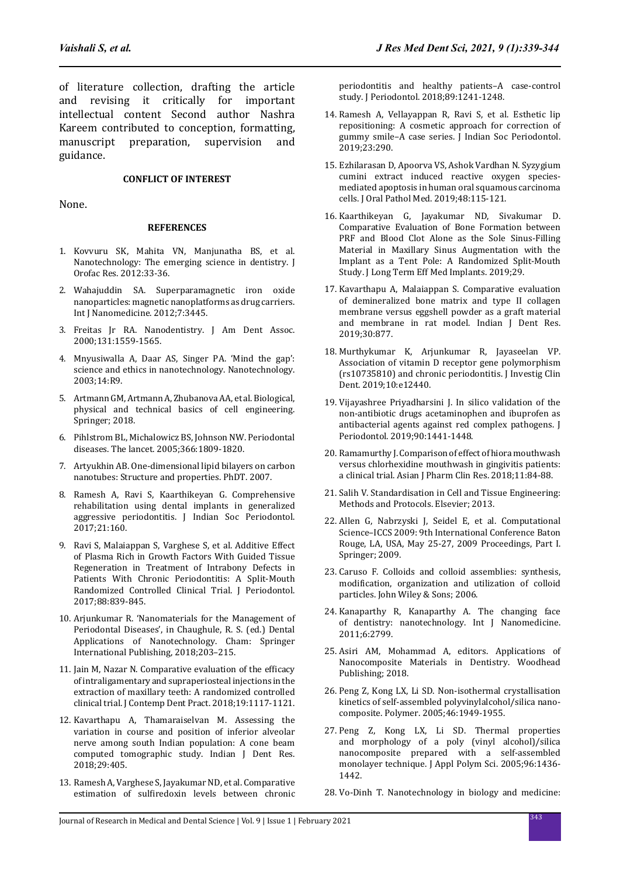of literature collection, drafting the article and revising it critically for important intellectual content Second author Nashra Kareem contributed to conception, formatting,<br>manuscript preparation, supervision and manuscript preparation, supervision and guidance.

#### **CONFLICT OF INTEREST**

None.

#### **REFERENCES**

- 1. Kovvuru SK, Mahita VN, Manjunatha BS, et al. Nanotechnology: The emerging science in dentistry. J Orofac Res. 2012:33-36.
- 2. Wahajuddin SA. Superparamagnetic iron oxide nanoparticles: magnetic nanoplatforms as drug carriers. Int J Nanomedicine. 2012:7:3445.
- 3. Freitas Jr RA. Nanodentistry. J Am Dent Assoc. 2000;131:1559-1565.
- 4. Mnyusiwalla A, Daar AS, Singer PA. 'Mind the gap': science and ethics in nanotechnology. Nanotechnology. 2003;14:R9.
- 5. Artmann GM, Artmann A, Zhubanova AA, et al. Biological, physical and technical basics of cell engineering. Springer; 2018.
- 6. Pihlstrom BL, Michalowicz BS, Johnson NW. Periodontal diseases. The lancet. 2005;366:1809-1820.
- 7. Artyukhin AB. One-dimensional lipid bilayers on carbon nanotubes: Structure and properties. PhDT. 2007.
- 8. Ramesh A, Ravi S, Kaarthikeyan G. Comprehensive rehabilitation using dental implants in generalized aggressive periodontitis. J Indian Soc Periodontol. 2017;21:160.
- 9. Ravi S, Malaiappan S, Varghese S, et al. Additive Effect of Plasma Rich in Growth Factors With Guided Tissue Regeneration in Treatment of Intrabony Defects in Patients With Chronic Periodontitis: A Split-Mouth Randomized Controlled Clinical Trial. J Periodontol. 2017;88:839-845.
- 10. Arjunkumar R. 'Nanomaterials for the Management of Periodontal Diseases', in Chaughule, R. S. (ed.) Dental Applications of Nanotechnology. Cham: Springer International Publishing, 2018;203–215.
- 11. Jain M, Nazar N. Comparative evaluation of the efficacy of intraligamentary and supraperiosteal injections in the extraction of maxillary teeth: A randomized controlled clinical trial. J Contemp Dent Pract. 2018;19:1117-1121.
- 12. Kavarthapu A, Thamaraiselvan M. Assessing the variation in course and position of inferior alveolar nerve among south Indian population: A cone beam computed tomographic study. Indian J Dent Res. 2018;29:405.
- 13. Ramesh A, Varghese S, Jayakumar ND, et al. Comparative estimation of sulfiredoxin levels between chronic

periodontitis and healthy patients–A case‐control study. J Periodontol. 2018;89:1241-1248.

- 14. Ramesh A, Vellayappan R, Ravi S, et al. Esthetic lip repositioning: A cosmetic approach for correction of gummy smile–A case series. J Indian Soc Periodontol. 2019;23:290.
- 15. Ezhilarasan D, Apoorva VS, Ashok Vardhan N. Syzygium cumini extract induced reactive oxygen speciesmediated apoptosis in human oral squamous carcinoma cells. J Oral Pathol Med. 2019;48:115-121.
- 16. Kaarthikeyan G, Jayakumar ND, Sivakumar D. Comparative Evaluation of Bone Formation between PRF and Blood Clot Alone as the Sole Sinus-Filling Material in Maxillary Sinus Augmentation with the Implant as a Tent Pole: A Randomized Split-Mouth Study. J Long Term Eff Med Implants. 2019;29.
- 17. Kavarthapu A, Malaiappan S. Comparative evaluation of demineralized bone matrix and type II collagen membrane versus eggshell powder as a graft material and membrane in rat model. Indian J Dent Res. 2019;30:877.
- 18. Murthykumar K, Arjunkumar R, Jayaseelan VP. Association of vitamin D receptor gene polymorphism (rs10735810) and chronic periodontitis. J Investig Clin Dent. 2019;10:e12440.
- 19. Vijayashree Priyadharsini J. In silico validation of the non‐antibiotic drugs acetaminophen and ibuprofen as antibacterial agents against red complex pathogens. J Periodontol. 2019;90:1441-1448.
- 20. Ramamurthy I. Comparison of effect of hiora mouthwash versus chlorhexidine mouthwash in gingivitis patients: a clinical trial. Asian J Pharm Clin Res. 2018;11:84-88.
- 21. Salih V. Standardisation in Cell and Tissue Engineering: Methods and Protocols. Elsevier; 2013.
- 22. Allen G, Nabrzyski J, Seidel E, et al. Computational Science–ICCS 2009: 9th International Conference Baton Rouge, LA, USA, May 25-27, 2009 Proceedings, Part I. Springer; 2009.
- 23. Caruso F. Colloids and colloid assemblies: synthesis, modification, organization and utilization of colloid particles. John Wiley & Sons; 2006.
- 24. Kanaparthy R, Kanaparthy A. The changing face of dentistry: nanotechnology. Int J Nanomedicine. 2011;6:2799.
- 25. Asiri AM, Mohammad A, editors. Applications of Nanocomposite Materials in Dentistry. Woodhead Publishing; 2018.
- 26. Peng Z, Kong LX, Li SD. Non-isothermal crystallisation kinetics of self-assembled polyvinylalcohol/silica nanocomposite. Polymer. 2005;46:1949-1955.
- 27. Peng Z, Kong LX, Li SD. Thermal properties and morphology of a poly (vinyl alcohol)/silica nanocomposite prepared with a self‐assembled monolayer technique. J Appl Polym Sci. 2005;96:1436- 1442.
- 28. Vo-Dinh T. Nanotechnology in biology and medicine: